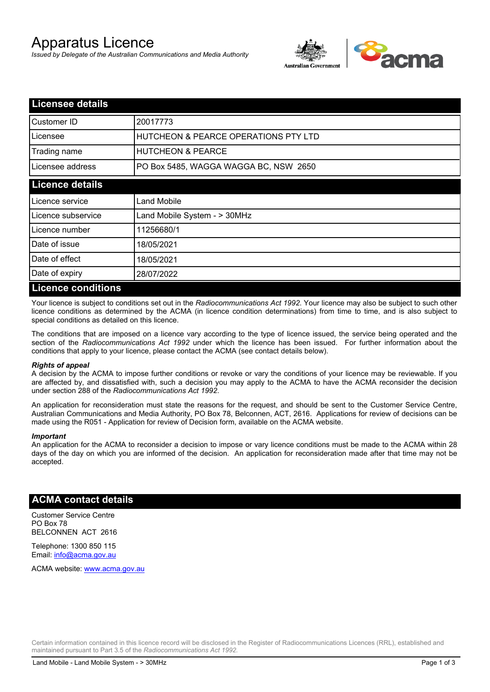# Apparatus Licence

*Issued by Delegate of the Australian Communications and Media Authority*



| <b>Licensee details</b>   |                                       |  |
|---------------------------|---------------------------------------|--|
| Customer ID               | 20017773                              |  |
| Licensee                  | HUTCHEON & PEARCE OPERATIONS PTY LTD  |  |
| Trading name              | <b>HUTCHEON &amp; PEARCE</b>          |  |
| Licensee address          | PO Box 5485, WAGGA WAGGA BC, NSW 2650 |  |
| <b>Licence details</b>    |                                       |  |
| Licence service           | Land Mobile                           |  |
| Licence subservice        | Land Mobile System - > 30MHz          |  |
| Licence number            | 11256680/1                            |  |
| Date of issue             | 18/05/2021                            |  |
| Date of effect            | 18/05/2021                            |  |
| Date of expiry            | 28/07/2022                            |  |
| <b>Licence conditions</b> |                                       |  |

Your licence is subject to conditions set out in the *Radiocommunications Act 1992*. Your licence may also be subject to such other licence conditions as determined by the ACMA (in licence condition determinations) from time to time, and is also subject to special conditions as detailed on this licence.

The conditions that are imposed on a licence vary according to the type of licence issued, the service being operated and the section of the *Radiocommunications Act 1992* under which the licence has been issued. For further information about the conditions that apply to your licence, please contact the ACMA (see contact details below).

#### *Rights of appeal*

A decision by the ACMA to impose further conditions or revoke or vary the conditions of your licence may be reviewable. If you are affected by, and dissatisfied with, such a decision you may apply to the ACMA to have the ACMA reconsider the decision under section 288 of the *Radiocommunications Act 1992*.

An application for reconsideration must state the reasons for the request, and should be sent to the Customer Service Centre, Australian Communications and Media Authority, PO Box 78, Belconnen, ACT, 2616. Applications for review of decisions can be made using the R051 - Application for review of Decision form, available on the ACMA website.

#### *Important*

An application for the ACMA to reconsider a decision to impose or vary licence conditions must be made to the ACMA within 28 days of the day on which you are informed of the decision. An application for reconsideration made after that time may not be accepted.

### **ACMA contact details**

Customer Service Centre PO Box 78 BELCONNEN ACT 2616

Telephone: 1300 850 115 Email: info@acma.gov.au

ACMA website: www.acma.gov.au

Certain information contained in this licence record will be disclosed in the Register of Radiocommunications Licences (RRL), established and maintained pursuant to Part 3.5 of the *Radiocommunications Act 1992.*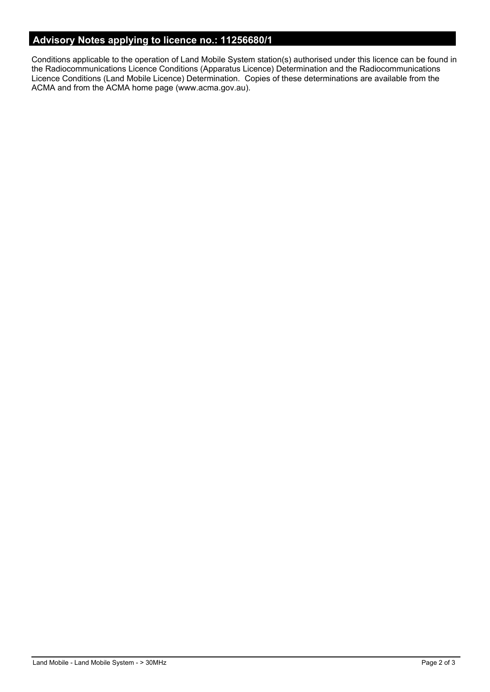# **Advisory Notes applying to licence no.: 11256680/1**

Conditions applicable to the operation of Land Mobile System station(s) authorised under this licence can be found in the Radiocommunications Licence Conditions (Apparatus Licence) Determination and the Radiocommunications Licence Conditions (Land Mobile Licence) Determination. Copies of these determinations are available from the ACMA and from the ACMA home page (www.acma.gov.au).